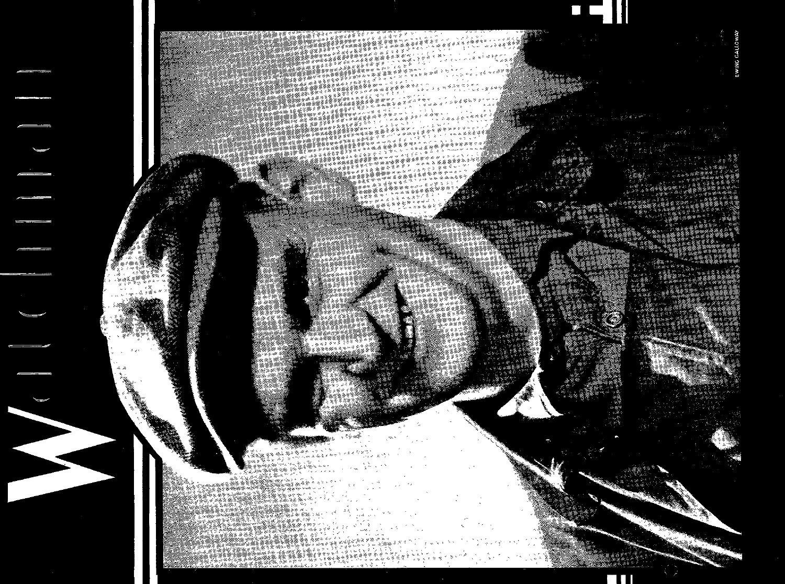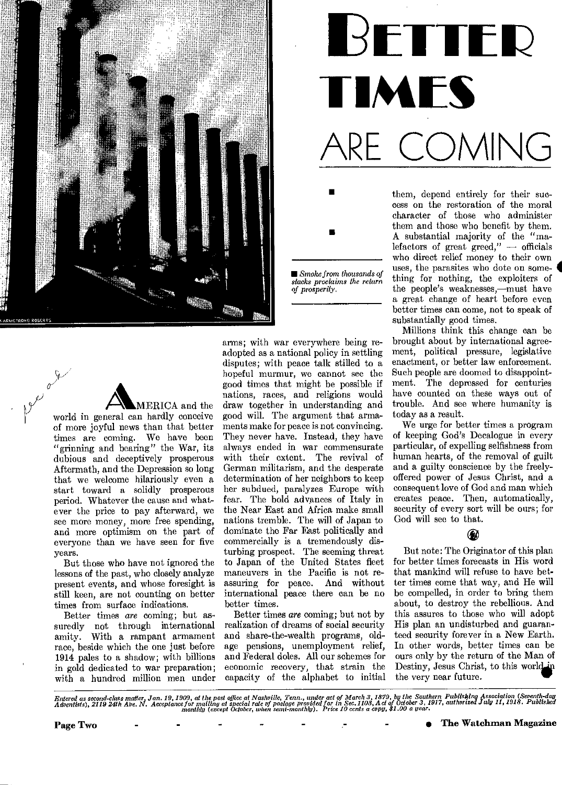



*• Smoke from thousands of slacks proclaims the return of prosperity.* 

•

**AMERICA and the world in general can hardly conceive of more joyful news than that better times are coming. We have been "grinning and bearing" the War, its dubious and deceptively prosperous Aftermath, and the Depression so long that we welcome hilariously even a start toward a solidly prosperous period. Whatever the cause and whatever the price to pay afterward, we see more money, more free spending, and more optimism on the part of everyone than we have seen for five years.** 

**But those who have not ignored the lessons of the past, who closely analyze present events, and whose foresight is still keen, are not counting on better times from surface indications.** 

**Better times** *are* **coming; but assuredly not through international amity. With a rampant armament race, beside which the one just before 1914 pales to a shadow; with billions in gold dedicated to war preparation; with a hundred million men under** 

**arms; with war everywhere being readopted as a national policy in settling disputes; with peace talk stilled to a hopeful murmur, we cannot see the good times that might be possible if nations, races, and religions would draw together in understanding and good will. The argument that armaments make for peace is not convincing. They never have. Instead, they have always ended in war commensurate with their extent. The revival of German militarism, and the desperate determination of her neighbors to keep her subdued, paralyzes Europe with fear. The bold advances of Italy in the Near East and Africa make small nations tremble. The will of Japan to dominate the Far East politically and commercially is a tremendously disturbing prospect. The seeming threat to Japan of the United States fleet maneuvers in the Pacific is not reassuring for peace. And without international peace there can be no better times.** 

**Better times** *are* **coming; but not by realization of dreams of social security and share-the-wealth programs, oldage pensions, unemployment relief, and Federal doles. All our schemes for economic recovery, that strain the capacity of the alphabet to initial** 

**them, depend entirely for their success on the restoration of the moral character of those who administer them and those who benefit by them. A substantial majority of the "malefactors of great greed," — officials who direct relief money to their own uses, the parasites who dote on some- 4 thing for nothing, the exploiters of the people's weaknesses,—must have a great change of heart before even better times can come, not to speak of substantially good times.** 

**Millions think this change can be brought about by international agreement, political pressure, legislative enactment, or better law enforcement. Such people are doomed to disappointment. The depressed for centuries have counted on these ways out of trouble. And see where humanity is today as a result.** 

**We urge for better times a program of keeping God's Decalogue in every particular, of expelling selfishness from human hearts, of the removal of guilt and a guilty conscience by the freelyoffered power of Jesus Christ, and a consequent love of God and man which creates peace. Then, automatically, security of every sort will be ours; for God will see to that.** 

#### **G**

**But note: The Originator of this plan for better times forecasts in His word that mankind will refuse to have better times come that way, and He will be compelled, in order to bring them about, to destroy the rebellious. And this assures to those who will adopt His plan an undisturbed and guaranteed security forever in a New Earth. In other words, better times can be ours only by the return of the Man of**  Destiny, Jesus Christ, to this world. **the very near future.** 

Entered as second-class matter, Jan. 19, 1909, at the post office at Nashville, Tenn., under act of March 3, 1879, by the Southern Publishing Association (Seventh-day<br>Adventists), 2119 24th Ave. N. Acceptance for mailing a

**Page Two** • • • • • • • • • • • • • • • • • **• The Watchman Magazine**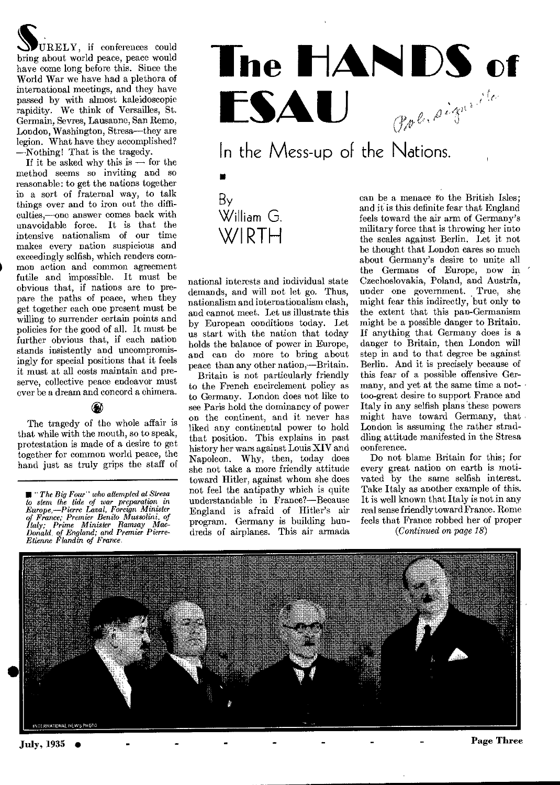$URELY$ , if conferences could bring about world peace, peace would have come long before this. Since the World War we have had a plethora of international meetings, and they have passed by with almost kaleidoscopic rapidity. We think of Versailles, St. Germain, Sevres, Lausanne, San Remo, London, Washington, Stresa—they are legion. What have they accomplished? —Nothing! That is the tragedy.

If it be asked why this is  $-$  for the method seems so inviting and so reasonable: to get the nations together in a sort of fraternal way, to talk things over and to iron out the difficulties,—one answer comes back with unavoidable force. It is that the intensive nationalism of our time makes every nation suspicious and exceedingly selfish, which renders common action and common agreement futile and impossible. It must be obvious that, if nations are to prepare the paths of peace, when they get together each one present must be willing to surrender certain points and policies for the good of all. It must be further obvious that, if each nation stands insistently and uncompromisingly for special positions that it feels it must at all costs maintain and preserve, collective peace endeavor must ever be a dream and concord a chimera.

⊛ The tragedy of the whole affair is that while with the mouth, so to speak, protestation is made of a desire to get together for common world peace, the hand just as truly grips the staff of

*III "The Big Four" who attempted at Stresa to stem the tide of war preparation in Europe,—Pierre* Laval, *Foreign Minister of France; Premier Benito Mussolini, of Italy; Prime Minister Ramsay Mac-Donald, of England; and Premier Pierre-Etienne Flandin of France.* 



By William G.

WIRTH

national interests and individual state demands, and will not let go. Thus, nationalism and internationalism clash, and cannot meet. Let us illustrate this by European conditions today. Let us start with the nation that today holds the balance of power in Europe, and can do more to bring about peace than any other nation,—Britain.

Britain is not particularly friendly to the French encirclement policy as to Germany. London does not like to see Paris hold the dominancy of power on the continent, and it never has liked any continental power to hold that position. This explains in past history her wars against Louis XIV and Napoleon. Why, then, today does she not take a more friendly attitude toward Hitler, against whom she does not feel the antipathy which is quite understandable in France?—Because England is afraid of Hitler's air program. Germany is building hundreds of airplanes. This air armada

can be a menace to the British Isles; and it is this definite fear that England feels toward the air arm of Germany's military force that is throwing her into the scales against Berlin. Let it not be thought that London cares so much about Germany's desire to unite all the Germans of Europe, now in ' Czechoslovakia, Poland, and Austria, under one government. True, she might fear this indirectly, but only to the extent that this pan-Germanism might be a possible danger to Britain. If anything that Germany does is a danger to Britain, then London will step in and to that degree be against Berlin. And it is precisely because of this fear of a possible offensive Germany, and yet at the same time a nottoo-great desire to support France and Italy in any selfish plans these powers might have toward Germany, that London is assuming the rather straddling attitude manifested in the Stresa conference.

Do not blame Britain for this; for every great nation on earth is motivated by the same selfish interest. Take Italy as another example of this. It is well known that Italy is not in any real sense friendly toward France. Rome feels that France robbed her of proper *(Continued on page 18)* 

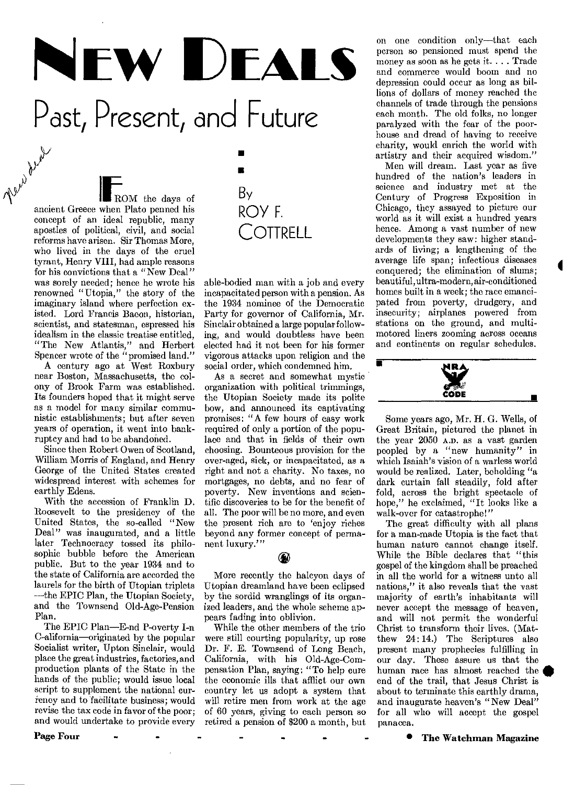$\sqrt{\frac{2^{k}}{k}}$ <br>ancient Greece when Plato penned his • NEW DEALS Past, Present, and Future

•

By

ROY F.

**COTTRELL** 

ROM the days of concept of an ideal republic, many apostles of political, civil, and social reforms have arisen. Sir Thomas More, who lived in the days of the cruel tyrant, Henry VIII, had ample reasons for his convictions that a "New Deal" was sorely needed; hence he wrote his renowned "Utopia," the story of the imaginary island where perfection existed. Lord Francis Bacon, historian, scientist, and statesman, espressed his idealism in the classic treatise entitled, "The New Atlantis," and Herbert Spencer wrote of the "promised land."

A century ago at West Roxbury near Boston, Massachusetts, the colony of Brook Farm was established. Its founders hoped that it might serve as a model for many similar communistic establishments; but after seven years of operation, it went into bankruptcy and had to be abandoned.

Since then Robert Owen of Scotland, William Morris of England, and Henry George of the United States created widespread interest with schemes for earthly Edens.

With the accession of Franklin D. Roosevelt to the presidency of the United States, the so-called "New Deal" was inaugurated, and a little later Technocracy tossed its philosophic bubble before the American public. But to the year 1934 and to the state of California are accorded the laurels for the birth of Utopian triplets —the EPIC Plan, the Utopian Society, and the Townsend Old-Age-Pension Plan.

The EPIC Plan—E-nd P-overty I-n C-alifornia—originated by the popular Socialist writer, Upton Sinclair, would place the great industries, factories, and production plants of the State in the hands of the public; would issue local script to supplement the national currency and to facilitate business; would revise the tax code in favor of the poor; and would undertake to provide every

able-bodied man with a job and every incapacitated person with a pension. As the 1934 nominee of the Democratic Party for governor of California, Mr. Sinclair obtained a large popular following, and would doubtless have been elected had it not been for his former vigorous attacks upon religion and the social order, which condemned him.

As a secret and somewhat mystic organization with political trimmings, the Utopian Society made its polite bow, and announced its captivating promises: "A few hours of easy work required of only a portion of the populace and that in fields of their own choosing. Bounteous provision for the over-aged, sick, or incapacitated, as a right and not a charity. No taxes, no mortgages, no debts, and no fear of poverty. New inventions and scientific discoveries to be for the benefit of all. The poor will be no more, and even the present rich are to 'enjoy riches beyond any former concept of permanent luxury."

#### $\mathbf \Omega$

More recently the halcyon days of Utopian dreamland have been eclipsed by the sordid wranglings of its organized leaders, and the whole scheme appears fading into oblivion.

While the other members of the trio were still courting popularity, up rose Dr. F. E. Townsend of Long Beach, California, with his Old-Age-Compensation Plan, saying: "To help cure the economic ills that afflict our own country let us adopt a system that will retire men from work at the age of 60 years, giving to each person so retired a pension of \$200 a month, but

on one condition only—that each person so pensioned must spend the money as soon as he gets it. . . . Trade and commerce would boom and no depression could occur as long as billions of dollars of money reached the channels of trade through the pensions each month. The old folks, no longer paralyzed with the fear of the poorhouse and dread of having to receive charity, would enrich the world with artistry and their acquired wisdom."

Men will dream. Last year as five hundred of the nation's leaders in science and industry met at the Century of Progress Exposition in Chicago, they assayed to picture our world as it will exist a hundred years hence. Among a vast number of new developments they saw: higher standards of living; a lengthening of the average life span; infectious diseases conquered; the elimination of slums; beautiful, ultra-modern, air-conditioned homes built in a week; the race emancipated from poverty, drudgery, and insecurity; airplanes powered from stations on the ground, and multimotored liners zooming across oceans and continents on regular schedules.



Some years ago, Mr. H. G. Wells, of Great Britain, pictured the planet in the year 2050 A.D. as a vast garden peopled by a "new humanity" in which Isaiah's vision of a warless world would be realized. Later, beholding "a dark curtain fall steadily, fold after fold, across the bright spectacle of hope," he exclaimed, "It looks like a walk-over for catastrophe!"

The great difficulty with all plans for a man-made Utopia is the fact that human nature cannot change itself. While the Bible declares that "this gospel of the kingdom shall be preached in all the world for a witness unto all nations," it also reveals that the vast majority of earth's inhabitants will never accept the message of heaven, and will not permit the wonderful Christ to transform their lives. (Matthew  $24:14.$ ) The Scriptures also present many prophecies fulfilling in our day. These assure us that the human race has almost reached the end of the trail, that Jesus Christ is about to terminate this earthly drama, and inaugurate heaven's "New Deal" for all who will accept the gospel panacea.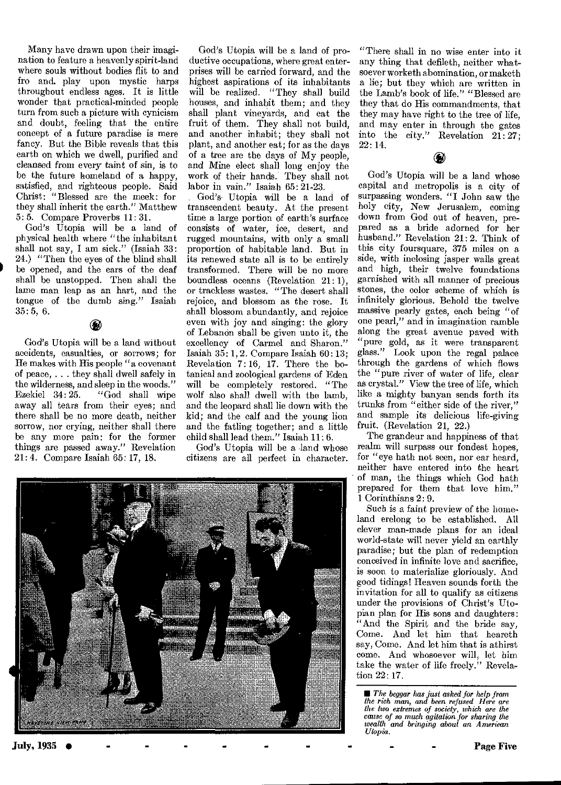Many have drawn upon their imagination to feature a heavenly spirit-land where souls without bodies flit to and fro and. play upon mystic harps throughout endless ages. It is little wonder that practical-minded people turn from such a picture with cynicism and doubt, feeling that the entire concept of a future paradise is mere fancy. But the Bible reveals that this earth on which we dwell, purified and cleansed from every taint of sin, is to be the future homeland of a happy, satisfied, and righteous people. Said Christ: "Blessed are the meek: for they shall inherit the earth." Matthew 5: 5. Compare Proverbs 11: 31.

God's Utopia will be a land of physical health where "the inhabitant shall not say, I am sick." (Isaiah 33: 24.) "Then the eyes of the blind shall be opened, and the ears of the deaf shall be unstopped. Then shall the lame man leap as an hart, and the tongue of the dumb sing." Isaiah 35:5, 6.

God's Utopia will be a land without accidents, casualties, or sorrows; for He makes with His people "a covenant of peace, . . . they shall dwell safely in the wilderness, and sleep in the woods." Ezekiel 34:25. "God shall wipe away all tears from their eyes; and there shall be no more death, neither sorrow, nor crying, neither shall there be any more pain: for the former things are passed away." Revelation 21:4. Compare Isaiah 65: 17, 18.

God's Utopia will be a land of productive occupations, where great enterprises will be carried forward, and the highest aspirations of its inhabitants will be realized. "They shall build houses, and inhabit them; and they shall plant vineyards, and eat the fruit of them. They shall not build, and another inhabit; they shall not plant, and another eat; for as the days of a tree are the days of My people, and Mine elect shall long enjoy the work of their hands. They shall not labor in vain." Isaiah 65: 21-23.

God's Utopia will be a land of transcendent beauty. At the present time a large portion of earth's surface consists of water, ice, desert, and rugged mountains, with only a small proportion of habitable land. But in its renewed state all is to be entirely transformed. There will be no more boundless oceans (Revelation 21: 1), or trackless wastes. "The desert shall rejoice, and blossom as the rose. It shall blossom abundantly, and rejoice even with joy and singing: the glory of Lebanon shall be given unto it, the excellency of Carmel and Sharon." Isaiah 35: 1, 2. Compare Isaiah 60 : 13; Revelation 7: 16, 17. There the botanical and zoological gardens of Eden will be completely restored. "The wolf also shall dwell with the lamb, and the leopard shall lie down with the kid; and the calf and the young lion and the fatling together; and a little child shall lead them." Isaiah 11:6.

God's Utopia will be a land whose citizens are all perfect in character.



"There shall in no wise enter into it any thing that defileth, neither whatsoever worketh abomination, or maketh a lie; but they which are written in the Lamb's book of life." "Blessed are they that do His commandments, that they may have right to the tree of life, and may enter in through the gates into the city." Revelation 21:27; 22: 14.

#### God's Utopia will be a land whose capital and metropolis is a city of surpassing wonders. "I John saw the holy city, New Jerusalem, coming down from God out of heaven, prepared as a bride adorned for her husband." Revelation 21: 2. Think of this city foursquare, 375 miles on a side, with inclosing jasper walls great and high, their twelve foundations garnished with all manner of precious stones, the color scheme of which is infinitely glorious. Behold the twelve massive pearly gates, each being "of one pearl," and in imagination ramble along the great avenue paved with "pure gold, as it were transparent glass." Look upon the regal palace through the gardens of which flows the "pure river of water of life, clear as crystal." View the tree of life, which like a mighty banyan sends forth its trunks from "either side of the river," and sample its delicious life-giving fruit. (Revelation 21, 22.)

The grandeur and happiness of that realm will surpass our fondest hopes, for "eye hath not seen, nor ear heard, neither have entered into the heart of man, the things which God bath prepared for them that love him." 1 Corinthians 2: 9.

Such is a faint preview of the homeland erelong to be established. All clever man-made plans for an ideal world-state will never yield an earthly paradise; but the plan of redemption conceived in infinite love and sacrifice, is soon to materialize gloriously. And good tidings! Heaven sounds forth the invitation for all to qualify as citizens under the provisions of Christ's Utopian plan for His sons and daughters: "And the Spirit and the bride say, Come. And let him that heareth say, Come. And let him that is athirst come. And whosoever will, let him take the water of life freely." Revelation 22: 17.

■ *The beggar has just asked for help from the rich man, and been refused Here are the two extremes of society, which are the cause of so much agitation for sharing the wealth and bringing about an American Utopia.*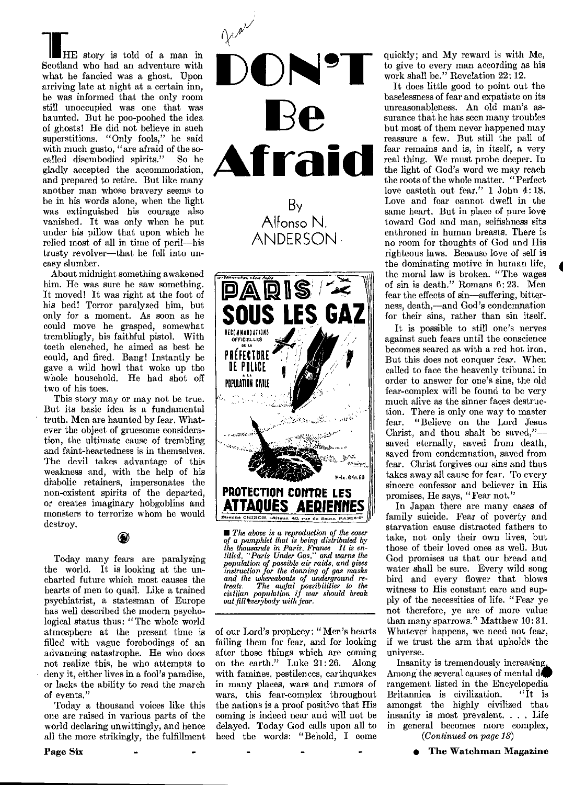**THE** story is told of a man in Scotland who had an adventure with what he fancied was a ghost. Upon arriving late at night at a certain inn, he was informed that the only room still unoccupied was one that was haunted. But he poo-poohed the idea of ghosts! He did not believe in such superstitions. "Only fools," he said with much gusto, "are afraid of the socalled disembodied spirits." So he gladly accepted the accommodation, and prepared to retire. But like many another man whose bravery seems to be in his words alone, when the light was extinguished his courage also

vanished. It was only when he put under his pillow that upon which he relied most of all in time of peril—his trusty revolver—that he fell into uneasy slumber. About midnight something awakened

him. He was sure he saw something. It moved! It was right at the foot of his bed! Terror paralyzed him, but only for a moment. As soon as he could move he grasped, somewhat tremblingly, his faithful pistol. With teeth clenched, he aimed as best he could, and fired. Bang! Instantly he gave a wild howl that woke up the whole household. He had shot off two of his toes.

This story may or may not be true. But its basic idea is a fundamental truth. Men are haunted by fear. Whatever the object of gruesome consideration, the ultimate cause of trembling and faint-heartedness is in themselves. The devil takes advantage of this weakness and, with the help of his diabolic retainers, impersonates the non-existent spirits of the departed, or creates imaginary hobgoblins and monsters to terrorize whom he would destroy.

⊛

Today many fears are paralyzing the world. It is looking at the uncharted future which most causes the hearts of men to quail. Like a trained psychiatrist, a statesman of Europe has well described the modern psychological status thus: "The whole world atmosphere at the present time is filled with vague forebodings of an advancing catastrophe. He who does not realize this, he who attempts to deny it, either lives in a fool's paradise, or lacks the ability to read the march of events."

Today a thousand voices like this one are raised in various parts of the world declaring unwittingly, and hence all the more strikingly, the fulfillment



*• The above is a reproduction of the cover of a pamphlet that is being distributed by the thousands in Paris, France It is en-titled, "Paris Under Gas," and warns the population of possible air raids, and gives instruction for the donning of gas masks and the whereabouts of underground retreats. The awful possibilities to the civilian population if war should break out filltverybody with fear.* 

of our Lord's prophecy: "Men's hearts failing them for fear, and for looking after those things which are coming on the earth." Luke 21: 26. Along with famines, pestilences, earthquakes in many places, wars and rumors of wars, this fear-complex throughout the nations is a proof positive that His coming is indeed near and will not be delayed. Today God calls upon all to heed the words: "Behold, I come quickly; and My reward is with Me, to give to every man according as his work shall be." Revelation 22: 12.

It does little good to point out the baselessness of fear and expatiate on its unreasonableness. An old man's assurance that he has seen many troubles but most of them never happened may reassure a few. But still the pall of fear remains and is, in itself, a very real thing. We must probe deeper. In the light of God's word we may reach the roots of the whole matter. "Perfect love casteth out fear." 1 John 4: 18. Love and fear cannot dwell in the same heart. But in place of pure love toward God and man, selfishness sits enthroned in human breasts. There is no room for thoughts of God and His righteous laws. Because love of self is the dominating motive in human life, the moral law is broken. "The wages of sin is death." Romans 6:23. Men fear the effects of sin—suffering, bitterness, death,—and God's condemnation for their sins, rather than sin itself.

**4** 

It is possible to still one's nerves against such fears until the conscience becomes seared as with a red hot iron. But this does not conquer fear. When called to face the heavenly tribunal in order to answer for one's sins, the old fear-complex will be found to be very much alive as the sinner faces destruction. There is only one way to master fear. "Believe on the Lord Jesus Christ, and thou shalt be saved," saved eternally, saved from death, saved from condemnation, saved from fear. Christ forgives our sins and thus takes away all cause for fear. To every sincere confessor and believer in His promises, He says, "Fear not."

In Japan there are many cases of family suicide. Fear of poverty and starvation cause distracted fathers to take, not only their own lives, but those of their loved ones as well. But God promises us that our bread and water shall be sure. Every wild song bird and every flower that blows witness to His constant care and supply of the necessities of life. "Fear ye not therefore, ye are of more value than many sparrows.'' Matthew 10: 31. Whatever happens, we need not fear, if we trust the arm that upholds the universe.

Insanity is tremendously increasing, Among the several causes of mental do rangement listed in the Encyclopedia<br>Britannica is civilization. "It is Britannica is civilization. amongst the highly civilized that insanity is most prevalent. . . . Life in general becomes more complex, *(Continued on page 18)*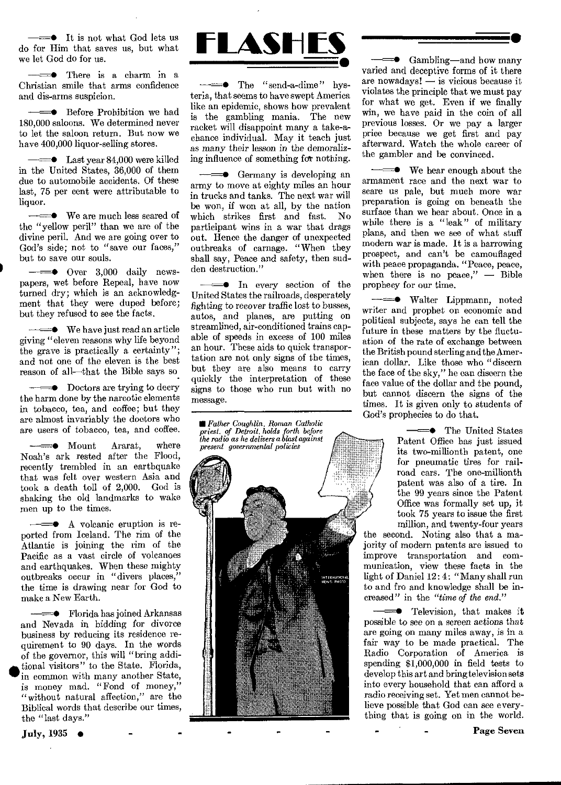$=$  It is not what God lets us do for Him that saves us, but what we let God do for us.

 $\Rightarrow$  There is a charm in a Christian smile that arms confidence and dis-arms suspicion.

 $\equiv$  Before Prohibition we had 180,000 saloons. We determined never to let the saloon return. But now we have 400,000 liquor-selling stores.

 $\equiv$  Last year 84,000 were killed in the United States, 36,000 of them due to automobile accidents. Of these last, 75 per cent were attributable to liquor.

 $\equiv$  We are much less scared of the "yellow peril" than we are of the divine peril. And we are going over to God's side; not to "save our faces," but to save our souls.

 $=$  Over 3,000 daily newspapers, wet before Repeal, have now turned dry; which is an acknowledgment that they were duped before; but they refused to see the facts.

 $\longrightarrow$  We have just read an article giving "eleven reasons why life beyond the grave is practically a certainty"; and not one of the eleven is the best reason of all—that the Bible says so

 $\equiv 0$  Doctors are trying to decry the harm done by the narcotic elements in tobacco, tea, and coffee; but they are almost invariably the doctors who are users of tobacco, tea, and coffee.

 $\longrightarrow$  Mount Ararat, where Noah's ark rested after the Flood, recently trembled in an earthquake that was felt over western Asia and took a death toll of 2,000. God is shaking the old landmarks to wake men up to the times.

 $\equiv$  A volcanic eruption is reported from Iceland. The rim of the Atlantic is joining the rim of the Pacific as a vast circle of volcanoes and earthquakes. When these mighty outbreaks occur in "divers places," the time is drawing near for God to make a New Earth.

——● Florida has joined Arkansas and Nevada in bidding for divorce business by reducing its residence requirement to 90 days. In the words of the governor, this will "bring addi- • tional visitors" to the State. Florida, in common with many another State, is money mad. "Fond of money," "without natural affection," are the Biblical words that describe our times, the "last days."



 $\Rightarrow$  The "send-a-dime" hysteria, that seems to have swept America like an epidemic, shows how prevalent is the gambling mania. The new racket will disappoint many a take-achance individual. May it teach just *as* many their lesson in the demoralizing influence of something for nothing.

 $\equiv$  Germany is developing an army to move at eighty miles an hour in trucks and tanks. The next war will be won, if won at all, by the nation<br>which strikes first and fast. No which strikes first and fast. participant wins in a war that drags out. Hence the danger of unexpected outbreaks of carnage. "When they shall say, Peace and safety, then sudden destruction."

 $\equiv$  In every section of the United States the railroads, desperately fighting to *recover* traffic lost to busses, autos, and planes, are putting on streamlined, air-conditioned trains capable of speeds in excess of 100 miles an hour. These aids to quick transportation are not only signs of the times, but they are also means to carry quickly the interpretation of these signs to those who run but with no message.

*• Father Coughlin, Roman Catholic priest, of Detroit, holds forth, before the radio as he delivers a blast against* 



 $\leftarrow$  Gambling—and how many varied and deceptive forms of it there are nowadays! — is vicious because it violates the principle that we must pay for what we get. Even if we finally win, we have paid in the coin of all previous losses. Or we pay a larger price because we get first and pay afterward. Watch the whole career of the gambler and be convinced.

•

 $\longrightarrow$  We hear enough about the armament race and the next war to scare us pale, but much more war preparation is going on beneath the surface than we hear about. Once in a while there is a "leak" of military plans, and then we see of what stuff modern war is made. It is a harrowing prospect, and can't be camouflaged with peace propaganda. "Peace, peace, when there is no peace," — Bible prophecy for our time.

—<del>—•</del> Walter Lippmann, noted writer and prophet on economic and political subjects, says he can tell the future in these matters by the fluctuation of the rate of exchange between the British pound sterling and the American dollar. Like those who "discern the face of the sky," he can discern the face value of the dollar and the pound, but cannot discern the signs of the times. It is given only to students of God's prophecies to do that.

> $=$  The United States Patent Office has just issued its two-millionth patent, one for pneumatic tires for railroad cars. The one-millionth patent was also of a tire. In the 99 years since the Patent Office was formally set up, it took 75 years to issue the first million, and twenty-four years

the second. Noting also that a majority of modern patents are issued to improve transportation and communication, view these facts in the light of Daniel 12:4: "Many shall run to and fro and knowledge shall be increased" in the *"time of the end."* 

**Television**, that makes it possible to see on *a screen actions that*  are going on many miles away, is in a fair way to be made practical. The Radio Corporation of America is spending \$1,000,000 in field tests to develop this art and bring television sets into every household that can afford a radio receiving set. Yet men cannot believe possible that God can see everything that is going on in the world.

Page Seven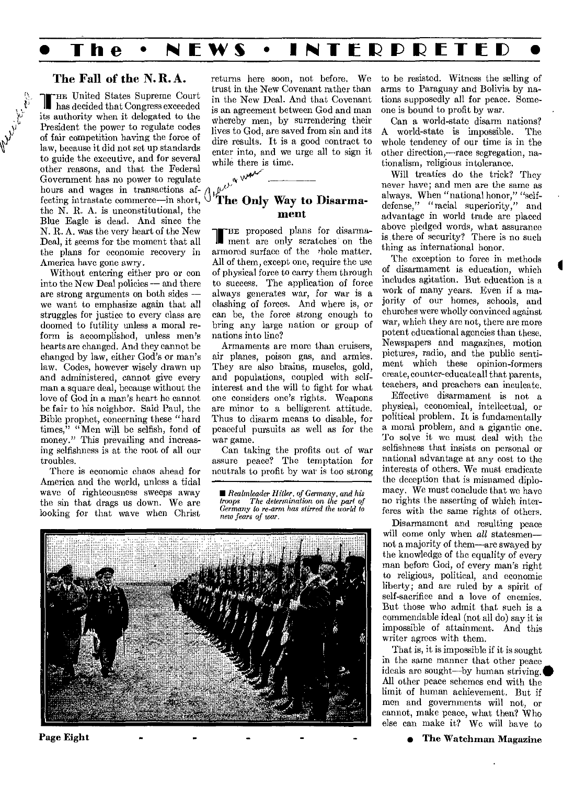# **The • NEWS • INTERPRETED**

#### The Fall of the N. R. A.

In has decided that Congress exceeded HE United States Supreme Court its authority when it delegated to the President the power to regulate codes of fair competition having the force of law, because it did not set up standards to guide the executive, and for several other reasons, and that the Federal Government has no power to regulate hours and wages in transactions affecting intrastate commerce—in short, the N. R. A. is unconstitutional, the Blue Eagle is dead. And since the N. R. A. was the very heart of the New Deal, it seems for the moment that all the plans for economic recovery in America have gone awry.

Without entering either pro or con into the New Deal policies — and there are strong arguments on both sides we want to emphasize again that all struggles for justice to every class are doomed to futility unless a moral reform is accomplished, unless men's hearts are changed. And they cannot be changed by law, either God's or man's law. Codes, however wisely drawn up and administered, cannot give every man a square deal, because without the love of God in a man's heart he cannot be fair to his neighbor. Said Paul, the Bible prophet, concerning these "hard times," "Men will be selfish, fond of money." This prevailing and increasing selfishness is at the root of all our troubles.

There is economic chaos ahead for America and the world, unless a tidal wave of righteousness sweeps away the sin that drags us down. We are looking for that wave when Christ

returns here soon, not before. We trust in the New Covenant rather than in the New Deal. And that Covenant is an agreement between God and man whereby men, by surrendering their lives to God, are saved from sin and its dire results. It is a good contract to enter into, and we urge all to sign it while there is time.

lect a war

#### The Only Way to Disarmament

-HE proposed plans for disarmament are only scratches on the armored surface of the rhole matter. All of them, except one, require the use of physical force to carry them through to success. The application of force always generates war, for war is a clashing of forces. And where is, or can be, the force strong enough to bring any large nation or group of nations into line?

Armaments are more than cruisers, air planes, poison gas, and armies. They are also brains, muscles, gold, and populations, coupled with selfinterest and the will to fight for what one considers one's rights. Weapons are minor to a belligerent attitude. Thus to disarm means to disable, for peaceful pursuits as well as for the war game.

Can taking the profits out of war assure peace? The temptation for neutrals to profit by war is too strong

■ *Realmleader Hitler, of Germany, and his troops The determination on the part of Germany to re-arm has stirred the world to new fears of war.* 



Page Eight

to be resisted. Witness the selling of arms to Paraguay and Bolivia by nations supposedly all for peace. Someone is bound to profit by war.

Can a world-state disarm nations? A world-state is impossible. whole tendency of our time is in the other direction,—race segregation, nationalism, religious intolerance.

Will treaties do the trick? They never have; and men are the same as always. When "national honor," "selfdefense," "racial superiority," and advantage in world trade are placed above pledged words, what assurance is, there of security? There is no such thing as international honor.

The exception to force in methods of disarmament is education, which includes agitation. But education is a work of many years. Even if a majority of our homes, schools, and churches were wholly convinced against war, which they are not, there are more potent educational agencies than these. Newspapers and magazines, motion pictures, radio, and the public sentiment which these opinion-formers create, counter-educate all that parents, teachers, and preachers can inculcate.

Effective disarmament is not a physical, economical, intellectual, or political problem. It is fundamentally a moral problem, and a gigantic one. To solve it we must deal with the selfishness that insists on personal or national advantage at any cost to the interests of others. We must eradicate the deception that is misnamed diplomacy. We must conclude that we have no rights the asserting of which interferes with the same rights of others.

Disarmament and resulting peace will come only when *all* statesmen-not a majority of them—are swayed by the knowledge of the equality of every man before God, of every man's right to religious, political, and economic liberty; and are ruled by a spirit of self-sacrifice and a love of enemies. But those who admit that such is a commendable ideal (not all do) say it is impossible of attainment. And this writer agrees with them.

That is, it is impossible if it is sought in the same manner that other peace ideals are sought—by human striving. All other peace schemes end with the limit of human achievement. But if men and governments will not, or cannot, make peace, what then? Who else can make it? We will have to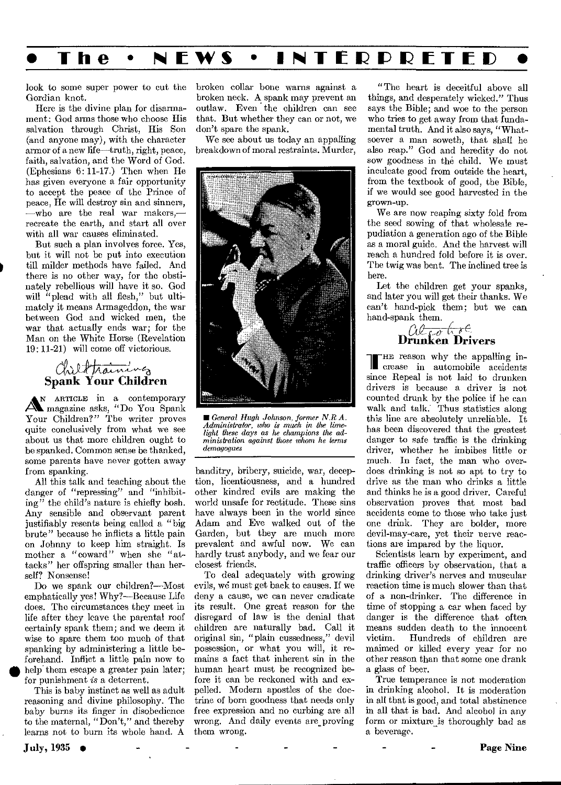

look to some super power to cut the Gordian knot.

Here is the divine plan for disarmament: God arms those who choose His salvation through Christ, His Son (and anyone may), with the character armor of a new life—truth, right, peace, faith, salvation, and the Word of God. (Ephesians 6: 11-17.) Then when He has given everyone a fair opportunity to accept the peace of the Prince of peace, He will destroy sin and sinners, —who are the real war makers, recreate the earth, and start all over with all war causes eliminated.

But such a plan involves force. Yes, but it will not be put into execution till milder methods have failed. And there is no other way, for the obstinately rebellious will have it so. God will "plead with all flesh," but ultimately it means Armageddon, the war between God and wicked men, the war that actually ends war; for the Man on the White Horse (Revelation 19: 11-21) will come off victorious.

# Chil<del>d Training</del><br>Spank Your Children

**Spank Your Children**<br>An ARTICLE in a contemporary<br> $A^N$  magazine asks, "Do You Spank<br>Your Children?" The writer proves AN ARTICLE in a contemporary<br>Amagazine asks, "Do You Spank Your Children?" The writer proves quite conclusively from what we see about us that more children ought to be spanked. Common sense be thanked, some parents have never gotten away from spanking.

All this talk and teaching about the danger of "repressing" and "inhibiting" the child's nature is chiefly bosh. Any sensible and observant parent justifiably resents being called a "big brute" because he inflicts a little pain on Johnny to keep him straight. Is mother a "coward" when she "attacks" her offspring smaller than herself? Nonsense!

Do we spank our children?—Most emphatically yes! Why?—Because Life does. The circumstances they meet in life after they leave the parental roof certainly spank them; and we deem it wise to spare them too much of that spanking by administering a little beforehand. Inflict a little pain now to help them escape a greater pain later; for punishment *is* a deterrent.

This is baby instinct as well as adult reasoning and divine philosophy. The baby burns its finger in disobedience to the maternal, "Don't," and thereby learns not to burn its whole hand. A broken collar bone warns against a broken neck. A spank may prevent an outlaw. Even the children can see that. But whether they can or not, we don't spare the spank.

We see about us today an appalling breakdown of moral restraints. Murder,



■ *General Hugh Johnson, former N.R.A. Administrator, who is much in the lime-light these days as he champions the administration against those whom he terms demagogues* 

banditry, bribery, suicide, war, deception, licentiousness, and a hundred other kindred evils are making the world unsafe for rectitude. These sins have always been in the world since Adam and Eve walked out of the Garden, but they are much more prevalent and awful now. We can hardly trust anybody, and we fear our closest friends.

To deal adequately with growing evils, we must get back to causes. If we deny a cause, we can never eradicate its result. One great reason for the disregard of law is the denial that children are naturally bad. Call it original sin, "plain cussedness," devil possession, or what you will, it remains a fact that inherent sin in the human heart must be recognized before it can be reckoned with and expelled. Modern apostles of the doctrine of born goodness that needs only free expression and no curbing are all wrong. And daily events are\_ proving them wrong.

"The heart is deceitful above all things, and desperately wicked." Thus says the Bible; and woe to the person who tries to get away from that fundamental truth. And it also says, "Whatsoever a man soweth, that shall he also reap." God and heredity do not sow goodness in the child. We must inculcate good from outside the heart, from the textbook of good, the Bible, if we would see good harvested in the grown-up.

We are now reaping sixty fold from the seed sowing of that wholesale repudiation a generation ago of the Bible as a moral guide. And the harvest will reach a hundred fold before it is over. The twig was bent. The inclined tree is here.

Let the children get your spanks, and later you will get their thanks. We can't hand-pick them; but we can hand-spank them.

 $\theta$ 

THE reason why the appalling in-**IN** crease in automobile accidents since Repeal is not laid to drunken drivers is because a driver is not counted drunk by the police if he can walk and talk: Thus statistics along this line are absolutely unreliable. It has been discovered that the greatest danger to safe traffic is the drinking driver, whether he imbibes little or much. In fact, the man who overdoes drinking is not so apt to try to drive as the man who drinks a little and thinks he is a good driver. Careful observation proves that most bad accidents come to those who take just one drink. They are bolder, more devil-may-care, yet their nerve reactions are impared by the liquor.

Scientists learn by experiment, and traffic officers by observation, that a drinking driver's nerves and muscular reaction time is much slower than that of a non-drinker. The difference in time of stopping a car when faced by danger is the difference that often means sudden death to the innocent<br>victim. Hundreds of children are Hundreds of children are maimed or killed every year for no other reason than that some one drank a glass of beer.

True temperance is not moderation in drinking alcohol. It is moderation in all that is good, and total abstinence in all that is bad. And alcohol in any form or mixture is thoroughly bad as a beverage.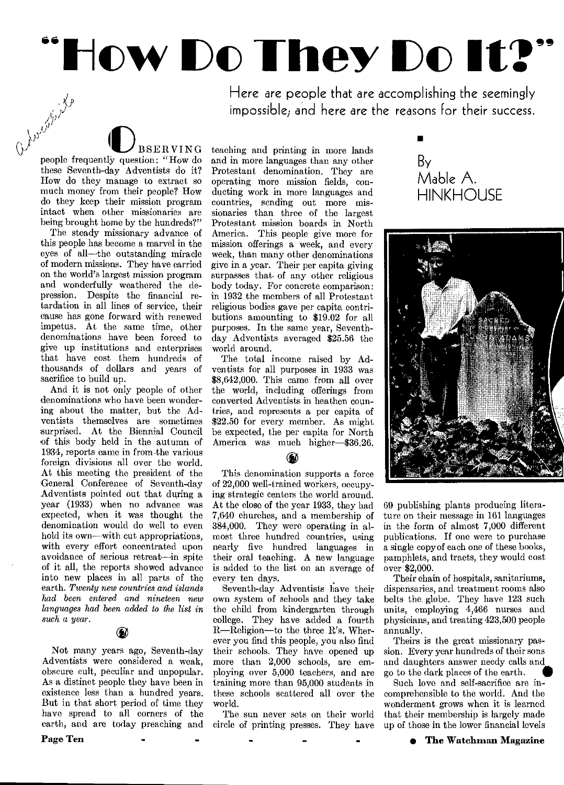# $\sum_{\text{Here are people that are accomplished}} \prod_{\text{the example that are accomplishing the seemingly impossible, and here are the reasons for their current.}$

Here are people that are accomplishing the seemingly impossible; and here are the reasons for their success.

 $\bigcup_{\text{BSERVING}}$ <br>people frequently question: "How do these Seventh-day Adventists do it? How do they manage to extract so much money from their people? How do they keep their mission program intact when other missionaries are being brought home by the hundreds?"

The steady missionary advance of this people has become a marvel in the eyes of all—the outstanding miracle of modern missions. They have carried on the world's largest mission program and wonderfully weathered the depression. Despite the financial retardation in all lines of service, their cause has gone forward with renewed impetus. At the same time, other denominations have been forced to give up institutions and enterprises that have cost them hundreds of thousands of dollars and years of sacrifice to build up.

And it is not only people of other denominations who have been wondering about the matter, but the Adventists themselves are sometimes surprised. At the Biennial Council of this body held in the autumn of 1934, reports came in from the various foreign divisions all over the world. At this meeting the president of the General Conference of Seventh-day Adventists pointed out that during a year (1933) when no advance was expected, when it was thought the denomination would do well to even hold its own—with cut appropriations, with every effort concentrated upon avoidance of serious retreat—in spite of it all, the reports showed advance into new places in all parts of the earth. *Twenty new countries and islands had been entered and nineteen new languages had been added to the list in such a year.* 

Not many years ago, Seventh-day Adventists were considered a weak, obscure cult, peculiar and unpopular. As a distinct people they have been in existence less than a hundred years. But in that short period of time they have spread to all corners of the earth, and are today preaching and

Page Ten

teaching and printing in more lands and in more languages than any other Protestant denomination. They are operating more mission fields, conducting work in more languages and countries, sending out more missionaries than three of the largest Protestant mission boards in North America. This people give more for mission offerings a week, and every week, than many other denominations give in a year. Their per capita giving surpasses that of any other religious body today. For concrete comparison: in 1932 the members of all Protestant religious bodies gave per capita contributions amounting to \$19.02 for all purposes. In the same year, Seventhday Adventists averaged \$25.56 the world around.

The total income raised by Adventists for all purposes in 1933 was \$8,642,000. This came from all over the world, including offerings from converted Adventists in heathen countries, and represents a per capita of \$22.50 for every member. As might be expected, the per capita for North America was much higher—\$36.26.

#### $\langle \pmb{\epsilon} \rangle$

This denomination supports a force of 22,000 well-trained workers, occupying strategic centers the world around. At the close of the year 1933, they had 7,640 churches, and a membership of 384,000. They were operating in almost three hundred countries, using nearly five hundred languages in their oral teaching. A new language is added to the list on an average of every ten days.

Seventh-day Adventists have their own system of schools and they take the child from kindergarten through college. They have added a fourth R—Religion—to the three R's. Wherever you find this people, you also find their schools. They have opened up more than 2,000 schools, are employing over 5,000 teachers, and are training more than 95,000 students in these schools scattered all over the world.

The sun never sets on their world circle of printing presses. They have

By Mable A. **HINKHOUSE** 

■



69 publishing plants producing literature on their message in 161 languages in the form of almost 7,000 different publications. If one were to purchase a single copy of each one of these books, pamphlets, and tracts, they would cost over \$2,000.

Their chain of hospitals, sanitariums, dispensaries, and treatment rooms also belts the, globe. They have 123 such units, employing 4,466 nurses and physicians, and treating 423,500 people annually.

Theirs is the great missionary passion. Every year hundreds of their sons<br>and daughters answer needy calls and<br>go to the dark places of the earth.<br>Such love and self-sacrifice are inand daughters answer needy calls and<br>go to the dark places of the earth.

Such love and self-sacrifice are incomprehensible to the world. And the wonderment grows when it is learned that their membership is largely made up of those in the lower financial levels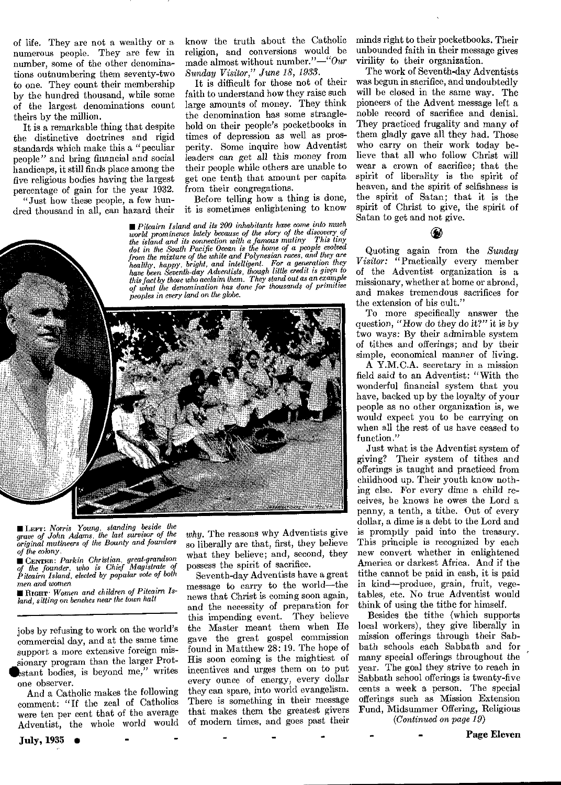of life. They are not a wealthy or a numerous people. They are few in number, some of the other denominations outnumbering them seventy-two to one. They count their membership by the hundred thousand, while some of the largest denominations count theirs by the million.

It is a remarkable thing that despite the distinctive doctrines and rigid standards which make this a "peculiar people" and bring financial and social handicaps, it still finds place among the five religious bodies having the largest percentage of gain for the year 1932.

"Just how these people, a few hundred thousand in all, can hazard their

know the truth about the Catholic religion, and conversions would be made almost without number."—"Our *Sunday Visitor," June 18, 1933.* 

It is difficult for those not of their faith to understand how they raise such large amounts of money. They think the denomination has some stranglehold on their people's pocketbooks in times of depression as well as prosperity. Some inquire how Adventist leaders can get all this money from their people while others are unable to get one tenth that amount per capita from their congregations.

Before telling how a thing is done, it is sometimes enlightening to know

■ *Pitcairn Island and its 200 inhabitants have come into much world prominence lately because of the story of the discovery of*  $u$  *the discovery of*  $u$  *discovery of the discovery of the discovery of the island and its connection with a famous mutiny dot in the South Pacific Ocean is the home of a people evolved from the mixture of the white and Polynesian races, and they are healthy, happy, bright, and intelligent. For a generation they have been Seventh-day Adventists, though little credit is given to this fact by those who acclaim them. They stand out as an example of what the denomination has done for thousands of primitive peoples in every land on the globe.* 



■ LEFT: *Norris Young, standing beside the grave of John Adams, the last survivor of the original mutineers of the Bounty and founders of the colony.* 

■ CENTER: *Parkin Christian, great-grandson of the founder, who is Chief Magistrate of Pitcairn Island, elected by popular vote of both men and women* 

■ Racur• *Women and children of Pitcairn Island, sitting* on *benches near the town hall* 

jobs by refusing to work on the world's commercial day, and at the same time support a more extensive foreign missionary program than the larger Protestant bodies, is beyond me," writes one observer.

And a Catholic makes the following comment: "If the zeal of Catholics were ten per cent that of the average Adventist, the whole world would

July, 1935 •

*why.* The reasons why Adventists give so liberally are that, first, they believe what they believe; and, second, they possess the spirit of sacrifice.

Seventh-day Adventists have a great message to carry to the world—the news that Christ is coming soon again, and the necessity of preparation for this impending event. They believe the Master meant them when He gave the great gospel commission found in Matthew 28: 19. The hope of His soon coming is the mightiest of incentives and urges them on to put every ounce of energy, every dollar they can spare, into world evangelism. There is something in their message that makes them the greatest givers of modern times, and goes past their

minds right to their pocketbooks. Their unbounded faith in their message gives virility to their organization.

The work of Seventh-day Adventists was begun in sacrifice, and undoubtedly will be closed in the same way. The pioneers of the Advent message left a noble record of sacrifice and denial. They practiced frugality and many of them gladly gave all they had. Those who carry on their work today believe that all who follow Christ will wear a crown of sacrifice; that the spirit of liberality is the spirit of heaven, and the spirit of selfishness is the spirit of Satan; that it is the spirit of Christ to give, the spirit of Satan to get and not give.

Quoting again from the *Sunday Visitor:* "Practically every member of the Adventist organization is a missionary, whether at home or abroad, and makes tremendous sacrifices for the extension of his cult."

To more specifically answer the question, "How do they do it?" it is by two ways: By their admirable system of tithes and offerings; and by their simple, economical manner of living.

A Y.M.C.A. secretary in a mission field said to an Adventist: "With the wonderful financial system that you have, backed up by the loyalty of your people as no other organization is, we would expect you to be carrying on when all the rest of us have ceased to function."

Just what is the Adventist system of giving? Their system of tithes and offerings is taught and practiced from childhood up. Their youth know nothing else. For every dime a child receives, he knows he owes the Lord a penny, a tenth, a tithe. Out of every dollar, a dime is a debt to the Lord and is promptly paid into the treasury. This principle is recognized by each new convert whether in enlightened America or darkest Africa. And if the tithe cannot be paid in cash, it is paid in kind—produce, grain, fruit, vegetables, etc. No true Adventist would think of using the tithe for himself.

Besides the tithe (which supports local workers), they give liberally in mission offerings through their Sabbath schools each Sabbath and for many special offerings throughout the year. The goal they strive to reach in Sabbath school offerings is twenty-five cents a week a person. The special offerings such as Mission Extension Fund, Midsummer Offering, Religious

*(Continued on page 19)*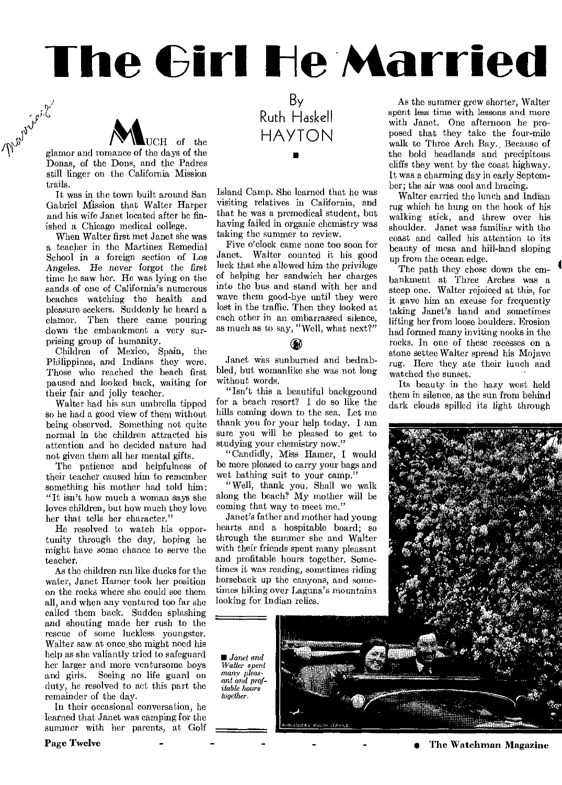# **The Girl He Married**



glamor and romance of the days of the Donas, of the Dons, and the Padres still linger on the California Mission trails.

It was in the town built around San Gabriel Mission that Walter Harper and his wife Janet located after he finished a Chicago medical college.

When Walter first met Janet she was a teacher in the Martinez Remedial School in a foreign section of Los Angeles. He *never forgot the first*  time he saw her. He was lying on the sands of one of California's numerous beaches watching the health and pleasure seekers. Suddenly he heard a clamor. Then there came pouring down the embankment a very surprising group of humanity.

Children of Mexico, Spain, the Philippines, and Indians they were. Those who reached the beach first paused and looked back, waiting for their fair and jolly teacher.

Walter had his sun umbrella tipped so he had a good view of them without being observed. Something not quite normal in the children attracted his attention and he decided nature had not given them all her mental gifts.

The patience and helpfulness of their teacher caused him to remember something his mother had told him: "It isn't how much a woman says she loves children, but how much they love her that tells her character."

He resolved to watch his opportunity through the day, hoping he might have some chance to serve the teacher.

As the children ran like ducks for the water, Janet Hamer took her position on the rocks where she could see them all, and when any ventured too far she called them back. Sudden splashing and shouting made her rush to the rescue of some luckless youngster. Walter saw at once she might need his help as she valiantly tried to safeguard her larger and more ventursome boys and girls. Seeing no life guard on duty, he resolved to act this part the remainder of the day.

In their occasional conversation, he learned that Janet was camping for the summer with her parents, at Golf

**Page Twelve** 

By Ruth Haskell HAYTON ■

Island Camp. She learned that he was visiting relatives in California, and that he was a premedical student, but having failed in organic chemistry was taking the summer to review.

Five o'clock came none too soon for<br>Janet. Walter counted it his good Walter counted it his good luck that she allowed him the *privilege*  of helping her sandwich her charges into the bus and stand with her and wave them good-bye until they were lost in the traffic. Then they looked at each other in an embarrassed silence, as much as to say, "Well, what next?"

Janet was sunburned and bedrabbled, but womanlike she was not long without words.

"Isn't this a beautiful background for a beach resort? I do so like the hills coming down to the sea. Let me thank you for your help today. I am sure you will be pleased to get to studying your chemistry now."

"Candidly, Miss Hamer, I would be more pleased to carry your bags and wet bathing suit to your camp."

"Well, thank you. Shall we walk along the beach? My mother will be coming that way to meet me."

Janet's father and mother had young hearts and a hospitable board; so through the summer she and Walter with their friends spent many pleasant and profitable hours together. Sometimes it was reading, sometimes riding horseback up the canyons, and sometimes hiking over Laguna's mountains looking for Indian relies.

■ *Janet and Walter spent many pleasant and profitable hours together.* 

As the summer grew shorter, Walter spent less time with lessons and more with Janet. One afternoon he proposed that they take the four-mile walk to Three Arch Bay.. Because of the bold headlands and precipitous cliffs they went by the coast highway. It was a charming day in early September; the air was cool and bracing.

Walter carried the lunch and Indian rug which he hung on the hook of his walking stick, and threw over his shoulder. Janet was familiar with the coast and called his attention to its beauty of mesa and hill-land sloping up from the ocean edge.

The path they chose down the embankment at Three Arches was a steep one. Walter rejoiced at this, for it gave him an excuse for frequently taking Janet's hand and sometimes lifting her from loose boulders. Erosion had formed many inviting nooks in the rocks. In one of these recesses on a stone settee Walter spread his Mojave rug. Here they ate their lunch and watched the sunset.

Its beauty in the hazy west held them in silence, as the sun from behind dark clouds spilled its light through



**<sup>•</sup> The Watchman Magazine**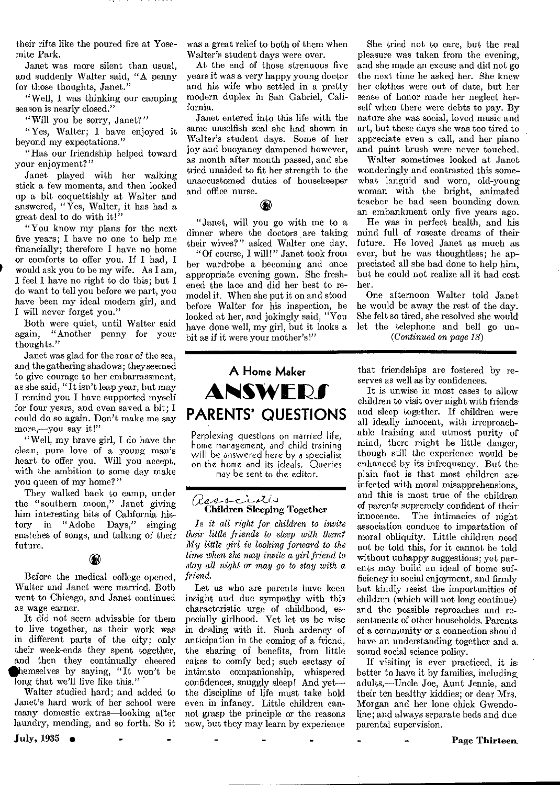their rifts like the poured fire at Yosemite Park.

Janet was more silent than usual, and suddenly Walter said, "A penny for those thoughts, Janet."

"Well, I was thinking our camping season is nearly closed."

"Will you be sorry, Janet?"

"Yes, Walter; I have enjoyed it beyond my expectations."

"Has our friendship helped toward your enjoyment?"

Janet played with her walking stick a few moments, and then looked up a bit coquettishly at Walter and answered, " $\hat{Y}$ es, Walter, it has had a great deal to do with it!"

"You know my plans for the next five years; I have no one to help me financially; therefore I have no home or comforts to offer you. If I had, I would ask you to be my wife. As I am, I feel I have no right to do this; but I do want to tell you before we part, you have been my ideal modern girl, and I will never forget you."

Both were quiet, until Walter said again, "Another penny for your thoughts."

Janet was glad for the roar of the sea, and the gathering shadows; theyseemed to give courage to her embarrassment, as she said, "It isn't leap year, but may I remind you I have supported myself for four years, and even saved a bit; I could do so again. Don't make me say more,-you say it!"

"Well, my brave girl, I do have the clean, pure love of a young man's heart to offer you. Will you accept, with the ambition to some day make you queen of my home?"

They walked back to camp, under the "southern moon," Janet giving him interesting bits of California history in "Adobe Days," singing snatches of songs, and talking of their future.

#### $\,$

Before the medical college opened, Walter and Janet were married. Both went to Chicago, and Janet continued as wage earner.

It did not seem advisable for them to live together, as their work was in different parts of the city; only their week-ends they spent together, and then they continually cheered hemselves by saying, "It won't be long that we'll live like this.'

Walter studied hard; and added to Janet's hard work of her school were many domestic extras—looking after laundry, mending, and so forth. So it

July, 1935 •

was a great relief to both of them when Walter's student days were over.

At the end of those strenuous five years it was a very happy young doctor and his wife who settled in a pretty modern duplex in San Gabriel, California.

Janet entered into this life with the same unselfish zeal she had shown in Walter's student days. Some of her joy and buoyancy dampened however, as month after month passed, and she tried unaided to fit her strength to the unaccustomed duties of housekeeper and office nurse.

#### $\circledast$

"Janet, will you go with me to a dinner where the doctors are taking their wives?" asked Walter one day.

"Of course, I will!" Janet took from her wardrobe a becoming and once appropriate evening gown. She freshened the lace and did her best to remodel it. When she put it on and stood before Walter for his inspection, he looked at her, and jokingly said, "You have done well, my girl, but it looks a bit as if it were your mother's!"

**A Home Maker ANSWERS** 

Perplexing questions on married life, home management, and child training will be answered here by a specialist on the home and its ideals. Queries

# Children Sleeping Together

Is *it all right for children to invite their little friends to sleep with them? My little girl is looking forward to the time when she may invite a girl friend to stay all night or may go to stay with a friend.* 

Let us who are parents have keen insight and due sympathy with this characteristic urge of childhood, especially girlhood. Yet let us be wise in dealing with it. Such ardency of anticipation in the coming of a friend, the sharing of benefits, from little cakes to comfy bed; such esctasy of intimate companionship, whispered confidences, snuggly sleep! And yet the discipline of life must take hold even in infancy. Little children cannot grasp the principle or the reasons now, but they may learn by experience

She tried not to care, but the real pleasure was taken from the evening, and she made an excuse and did not go the next time he asked her. She knew her clothes were out of date, but her sense of honor made her neglect herself when there were debts to pay. By nature she was social, loved music and art, but these days she was too tired to appreciate even a call, and her piano and paint brush were never touched.

Walter sometimes looked at Janet wonderingly and contrasted this somewhat languid and worn, old-young woman with the bright, animated teacher he had seen bounding down an embankment only five years ago.

He was in perfect health, and his mind full of roseate dreams of their future. He loved Janet as much as ever, but he was thoughtless; he appreciated all she had done to help him, but he could not realize all it had cost her.

One afternoon Walter told Janet he would be away the rest of the day. She felt so tired, she resolved she would let the telephone and bell go un- *(C ontinued on page 18)* 

that friendships are fostered by reserves as well as by confidences.

It is unwise in most cases to allow children to visit over night with friends and sleep together. If children were all ideally innocent, with irreproachable training and utmost purity of mind, there might be little danger, though still the experience would be enhanced by its infrequency. But the plain fact is that most children are infected with moral misapprehensions, and this is most true of the children of parents supremely confident of their The intimacies of night association conduce to impartation of moral obliquity. Little children need not be told this, for it cannot be told without unhappy suggestions; yet parents may build an ideal of home sufficiency in social enjoyment, and firmly but kindly resist the importunities of children (which will not long continue) and the possible reproaches and resentments of other households. Parents of a community or a connection should have an understanding together and a, sound social science policy.

If visiting is ever practiced, it is. better to have it by families, including, adults,—Uncle Joe, Aunt Jennie, and their ten healthy kiddies; or dear Mrs. Morgan and her lone chick Gwendoline ; and always separate beds and due parental supervision.

Page Thirteen.

may be sent to the editor.

**PARENTS' QUESTIONS**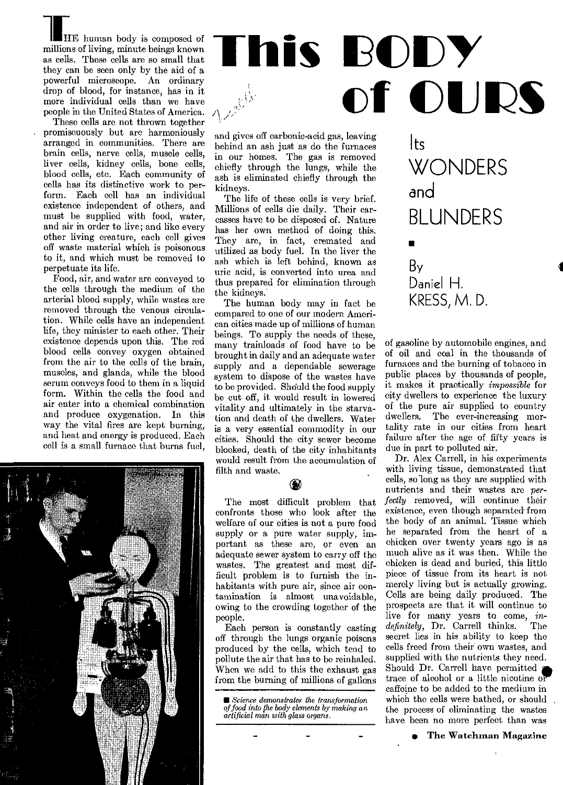HE human body is composed of millions of living, minute beings known as cells. These cells are so small that they can be seen only by the aid of a powerful microscope. An ordinary drop of blood, for instance, has in it more individual cells than we have people in the United States of America.

These cells are not thrown together promiscuously but are harmoniously arranged in communities. There are brain cells, nerve cells, muscle cells, liver cells, kidney cells, bone cells, blood cells, etc. Each community of cells has its distinctive work to perform. Each cell has an individual existence independent of others, and must be supplied with food, water, and air in order to live; and like every other living creature, each cell gives off waste material which is poisonous to it, and which must be removed to perpetuate its life.

Food, air, and water are conveyed to the cells through the medium of the arterial blood supply, while wastes are removed through the venous circulation. While cells have an independent life, they minister to each other. Their existence depends upon this. The red blood cells convey oxygen obtained from the air to the cells of the brain, muscles, and glands, while the blood serum conveys food to them in a liquid form. Within the cells the food and air enter into a chemical combination and produce oxygenation. In this way the vital fires are kept burning, and heat and energy is produced. Each cell is a small furnace that burns fuel,



and gives off carbonic-acid gas, leaving behind an ash just as do the furnaces in our homes. The gas is removed chiefly through the lungs, while the ash is eliminated chiefly through the kidneys.

The life of these cells is very brief. Millions of cells die daily. Their carcasses have to be disposed of. Nature has her own method of doing this. They are, in fact, cremated and utilized as body fuel. In the liver the ash which is left behind, known as uric acid, is converted into urea and thus prepared for elimination through the kidneys:

The human body may in fact he compared to one of our modern American cities made up of millions of human beings. To supply the needs of these, many trainloads of food have to be brought in daily and an adequate water supply and a dependable sewerage system to dispose of the wastes have to be provided. Should the food supply be cut off, it would result in lowered vitality and ultimately in the starvation and death of the dwellers. Water is a very essential commodity in our cities. Should the city sewer become blocked, death of the city inhabitants would result from the accumulation of filth and waste.



The most difficult problem that confronts those who look after the welfare of our cities is not a pure food supply or a pure water supply, important as these arc, or even an adequate sewer system to carry off the wastes. The greatest and most difficult problem is to furnish the inhabitants with pure air, since air contamination is almost unavoidable, owing to the crowding together of the people.

Each person is constantly casting off through the lungs organic poisons produced by the cells, which tend to pollute the air that has to be reinhaled. When we add to this the exhaust gas from the burning of millions of gallons

# Its **WONDERS** and BLUNDERS ■ By Daniel H. KRESS, M. D.

of gasoline by automobile engines, and of oil and coal in the thousands of furnaces and the burning of tobacco in public places by thousands of people, it makes it practically *impossible* for city dwellers to experience the luxury of the pure air supplied to country dwellers. The ever-increasing mortality rate in our cities from heart failure after the age of fifty years is due in part to polluted air.

Dr. Alex Carrell, in his experiments with living tissue, demonstrated that cells, so long as they are supplied with nutrients and their wastes are *perfectly* removed, will continue their existence, even though separated from the body of an animal. Tissue which he separated from the heart of a chicken over twenty years ago is as much alive as it was then. While the chicken is dead and buried, this little piece of tissue from its heart is not merely living but is actually growing. Cells are being daily produced. The prospects are that it will continue to live for many years to come, *in-*<br>definitely, Dr. Carrell thinks. The *definitely*, Dr. Carrell thinks. secret lies in his ability to keep the cells freed from their own wastes, and supplied with the nutrients they need. Should Dr. Carrell have permitted **s***<sup>h</sup>* trace of alcohol or a little nicotine or caffeine to be added to the medium in which the cells were bathed, or should the process of eliminating the wastes have been no more perfect than was

*<sup>•</sup> Science demonstrates the transformation of food into the body elements by making an artificial man with glass organs.*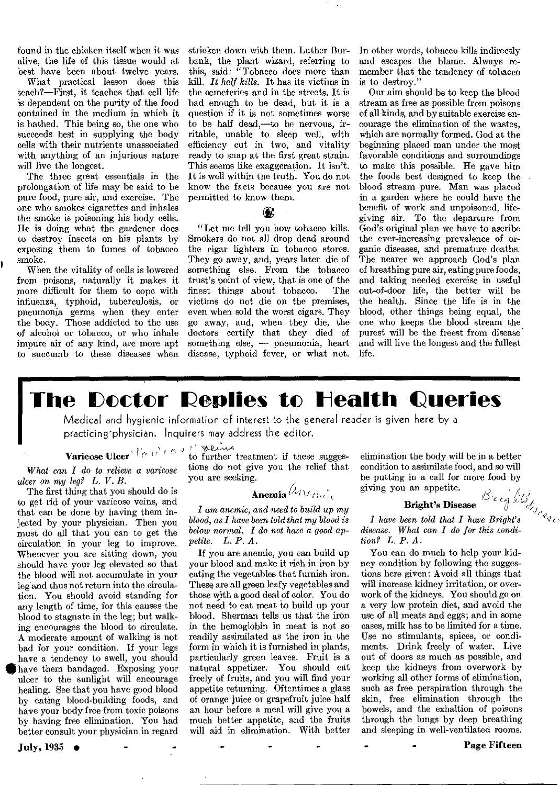found in the chicken itself when it was alive, the life of this tissue would at best have been about twelve years.

What practical lesson does this teach?—First, it teaches that cell life is dependent on the purity of the food contained in the medium in which it is bathed. This being so, the one who succeeds best in supplying the body cells with their nutrients unassociated with anything of an injurious nature will live the longest.

The three great essentials in the prolongation of life may be said to be pure food, pure air, and exercise. The one who smokes cigarettes and inhales the smoke is poisoning his body cells. He is doing what the gardener does to destroy insects on his plants by exposing them to fumes of tobacco smoke.

When the vitality of cells is lowered from poisons, naturally it makes it more difficult for them to cope with influenza, typhoid, tuberculosis, or pneumonia germs when they enter the body. Those addicted to the use of alcohol or tobacco, or who inhale impure air of any kind, are more apt to succumb to these diseases when

stricken down with them. Luther Burbank, the plant wizard, referring to this, said: "Tobacco does more than kill. *It half kills.* It has its victims in the cemeteries and in the streets. It is bad enough to be dead, but it is a question if it is not sometimes worse to be half dead,-to be nervous, irritable, unable to sleep well, with efficiency cut in two, and vitality ready to snap at the first great strain. This seems like exaggeration. It isn't. It is well within the truth. You do not know the facts because you are not permitted to know them.

#### **C**

"Let me tell you how tobacco kills. Smokers do not all drop dead around the cigar lighters in tobacco stores. They go away, and, years later. die of something else. From the tobacco trust's point of view, that is one of the finest things about tobacco. victims do not die on the premises, even when sold the worst cigars. They go away, and, when they die, the doctors certify that they died of something else, — pneumonia, heart disease, typhoid fever, or what not.

In other words, tobacco kills indirectly and escapes the blame. Always remember that the tendency of tobacco is to destroy."

Our aim should be to keep the blood stream as free as possible from poisons of all kinds, and by suitable exercise encourage the elimination of the wastes, which are normally formed. God at the beginning placed man under the most favorable conditions and surroundings to make this possible. He gave him the foods best designed to keep the blood stream pure. Man was placed in a garden where he could have the benefit of work and unpoisoned, lifegiving air. To the departure from God's original plan we have to ascribe the ever-increasing prevalence of organic diseases, and premature deaths. The nearer we approach God's plan of breathing pure air, eating pure foods, and taking needed exercise in useful out-of-door life, the better will be the health. Since the life is in the blood, other things being equal, the one who keeps the blood stream the, purest will be the freest from disease and will live the longest and the fullest life.

# **The Doctor Replies to Health Queries**

Medical and hygienic information of interest to the general reader is given here by a practicing-physician. Inquirers may address the editor.

*What can I do to relieve a varicose ulcer on my leg? L. V. B.* 

The first thing that you should do is to get rid of your varicose veins, and that can be done by having them injected by your physician. Then you must do all that you can to get the circulation in your leg to improve. Whenever you are sitting down, you should have your leg elevated so that the blood will not accumulate in your leg and thus not return into the circulation. You should avoid standing for any length of time, for this causes the blood to stagnate in the leg; but walking encourages the blood to circulate. A moderate amount of walking is not bad for your condition. If your legs have a tendency to swell, you should **figi** have them bandaged. Exposing your ulcer to the sunlight will encourage healing. See that you have good blood by eating blood-building foods, and have your body free from toxic poisons by having free elimination. You had better consult your physician in regard

July, 1935 •

Varicose Ulcer I' f, I j to further treatment if these suggestions do not give you the relief that you are seeking.

### Anemia  $\lambda$

*I* am *anemic, and need to build up my blood, as I have been told that my blood is below normal. I do not have a good appetite. L. P. A.* 

If you are anemic, you can build up your blood and make it rich in iron by eating the vegetables that furnish iron. These are all green leafy vegetables and those with a good deal of color. You do not need to eat meat to build up your blood. Sherman tells us that the iron in the hemoglobin in meat is not so readily assimilated as the iron in the form in which it is furnished in plants, particularly green leaves. Fruit is a natural appetizer. You should eat freely of fruits, and you will find your appetite returning. Oftentimes a glass of orange juice or grapefruit juice half an hour before a meal will give you a much better appetite, and the fruits will aid in elimination. With better elimination the body will be in a better condition to assimilate food, and so will be putting in a call for more food by giving you an appetite. en

#### Bright's Disease

*I have been told that I have Bright's disease. What can I do for this condition? L. P. A.* 

You can do much to help your kidney condition by following the suggestions here given: Avoid all things that will increase kidney irritation, or overwork of the kidneys. You should go on a very low protein diet, and avoid the use of all meats and eggs; and in some cases, milk has to be limited for a time. Use no stimulants, spices, or condiments. Drink freely of water. Live out of doors as much as possible, and keep the kidneys from overwork by working all other forms of elimination, such as free perspiration through the skin, free elimination through the bowels, and the exhaltion of poisons through the lungs by deep breathing and sleeping in well-ventilated rooms.

Page Fifteen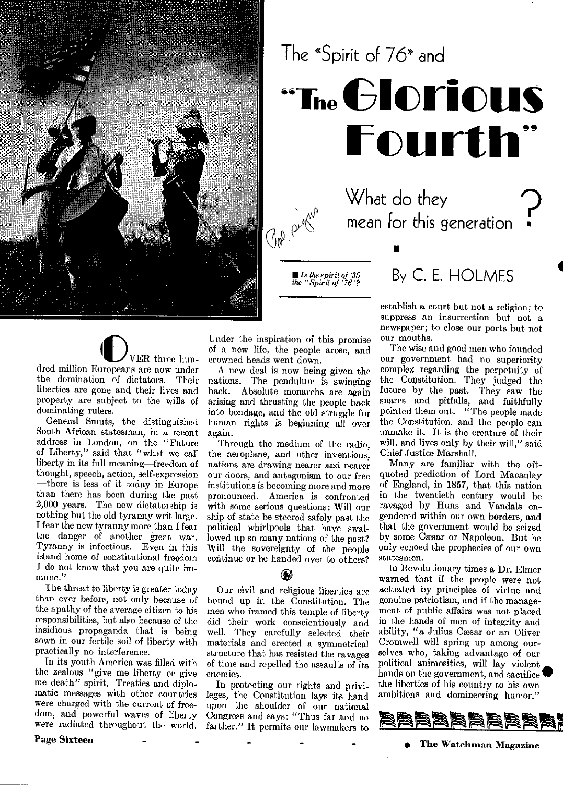

# The "Spirit of 76\* and "The **Clorious Fourth**

What do they mean for this generation •

*the "Spirit of '76"?* By C. E. HOLMES

#### establish a court but not a religion; to suppress an insurrection but not a newspaper; to close our ports but not our mouths.

The wise and good men who founded our government had no superiority complex regarding the perpetuity of the Constitution. They judged the future by the past. They saw the snares and pitfalls, and faithfully pointed them out. "The people made the Constitution. and the people can unmake it. It is the creature of their will, and lives only by their will," said Chief Justice Marshall.

Many are familiar with the oftquoted prediction of Lord Macaulay of England, in 1857, that this nation in the twentieth century would be ravaged by Huns and Vandals engendered within our own borders, and that the government would be seized by some Caesar or Napoleon. But he only echoed the prophecies of our own statesmen.

In Revolutionary times a Dr. Elmer warned that if the people were not actuated by principles of virtue and genuine patriotism, and if the management of public affairs was not placed in the hands of men of integrity and ability, "a Julius Cesar or an Oliver Cromwell will spring up among ourselves who, taking advantage of our political animosities, will lay violent hands on the government, and sacrifice'. the liberties of his country to his own ambitions and domineering humor."



• The Watchman Magazine



the domination of dictators. Their liberties are gone and their lives and property are subject to the wills of dominating rulers.

General Smuts, the distinguished South African statesman, in a recent address in London, on the "Future of Liberty," said that "what we call liberty in its full meaning—freedom of thought, speech, action, self-expression —there is less of it today in Europe than there has been during the past 2,000 years. The new dictatorship is nothing but the old tyranny writ large. I fear the new tyranny more than I fear the danger of another great war. Tyranny is infectious. Even in this island home of constitutional freedom I do not know that you are quite immune."

The threat to liberty is greater today than ever before, not only because of the apathy of the average citizen to his responsibilities, but also because of the insidious propaganda that is being sown in our fertile soil of liberty with practically no interference.

In its youth America was filled with the zealous "give me liberty or give me death" spirit. Treaties and diplomatic messages with other countries were charged with the current of freedom, and powerful waves of liberty were radiated throughout the world.

Under the inspiration of this promise of a new life, the people arose, and crowned heads went down.

■ *Is the spirit of '35* 

A new deal is now being given the nations. The pendulum is swinging back. Absolute monarchs are again arising and thrusting the people back into bondage, and the old struggle for human rights is beginning all over again.

Through the medium of the radio, the aeroplane, and other inventions, nations are drawing nearer and nearer our doors, and antagonism to our free institutions is becoming more and more pronounced. America is confronted with some serious questions: Will our ship of state be steered safely past the political whirlpools that have swallowed up so many nations of the past? Will the sovereignty of the people continue or be handed over to others?

Our civil and religious liberties are bound up in the Constitution. The men who framed this temple of liberty did their work conscientiously and well. They carefully selected their materials and erected a symmetrical structure that has resisted the ravages of time and repelled the assaults of its enemies.

In protecting our rights and privileges, the Constitution lays its hand upon the shoulder of our national Congress and says: "Thus far and no farther." It permits our lawmakers to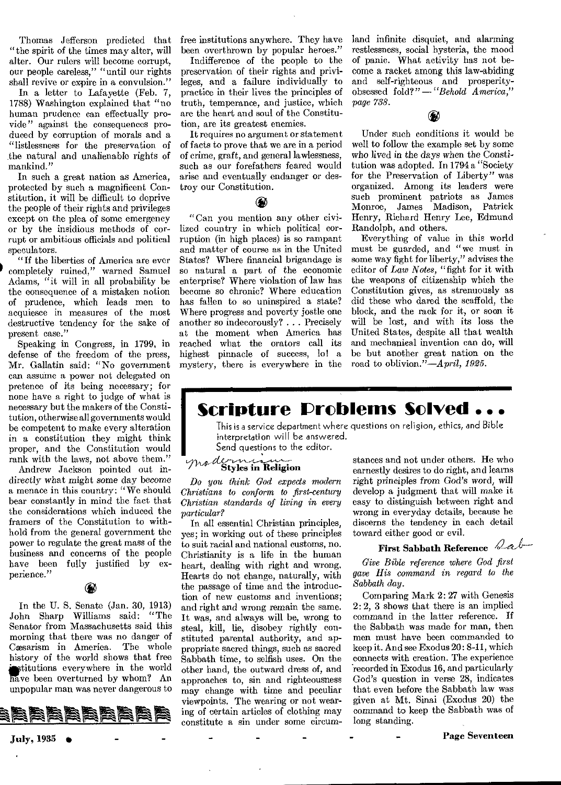Thomas Jefferson predicted that "the spirit of the times may alter, will alter. Our rulers will become corrupt, our people careless," "until our rights shall revive or expire in a convulsion."

In a letter to Lafayette (Feb. 7, 1788) Washington explained that "no human prudence can effectually provide" against the consequences produced by corruption of morals and a "listlessness for the preservation of the natural and unalienable rights of mankind."

In such a great nation as America, protected by such a magnificent Constitution, it will be difficult to deprive the people of their rights and privileges except on the plea of some emergency or by the insidious methods of corrupt or ambitious officials and political speculators.

"If the liberties of America are ever completely ruined," warned Samuel Adams, "it will in all probability be the consequence of a mistaken notion of prudence, which leads men to acquiesce in measures of the most destructive tendency for the sake of present case."

Speaking in Congress, in 1799, in defense of the freedom of the press, Mr. Gallatin said: "No government can assume a power not delegated on pretence of its being necessary; for none have a right to judge of what is necessary but the makers of the Constitution, otherwise all governments would be competent to make every alteration in a constitution they might think proper, and the Constitution would rank with the laws, not above them."

Andrew Jackson pointed out indirectly what might some day become a menace in this country: "We should bear constantly in mind the fact that the considerations which induced the framers of the Constitution to withhold from the general government the power to regulate the great mass of the business and concerns of the people have been fully justified by experience."

In the U. S. Senate (Jan. 30, 1913) John Sharp Williams said: "The Senator from Massachusetts said this morning that there was no danger of Cæsarism in America. The whole history of the world shows that free stitutions everywhere in the world have been overturned by whom? An unpopular man was never dangerous to



free institutions anywhere. They have been overthrown by popular heroes."

Indifference of the people to the preservation of their rights and privileges, and a failure individually to practice in their lives the principles of truth, temperance, and justice, which are the heart and soul of the Constitution, are its greatest enemies.

It requires no argument or statement of facts to prove that we are in a period of crime, graft, and general lawlessness, such as our forefathers feared would arise and eventually endanger or destroy our Constitution.

#### (W)

"Can you mention any other civilized country in which political corruption (in high places) is so rampant and matter of course as in the United States? Where financial brigandage is so natural a part of the economic enterprise? Where violation of law has become so chronic? Where education has fallen to so uninspired a state? Where progress and poverty jostle one another so indecorously? . . . Precisely at the moment when America has reached what the orators call its highest pinnacle of success, lo! a mystery, there is everywhere in the

land infinite disquiet, and alarming restlessness, social hysteria, the mood of panic. What activity has not become a racket among this law-abiding and self-righteous and prosperityobsessed fold?" *—"Behold America," page 738.* 

# $\bigcirc$

Under such conditions it would be well to follow the example set by some who lived in the days when the Constitution was adopted. In 1794 a "Society for the Preservation of Liberty" was organized. Among its leaders were such prominent patriots as James Monroe, James Madison, Patrick Henry, Richard Henry Lee, Edmund Randolph, and others.

Everything of value in this world must be guarded, and "we must in some way fight for liberty," advises the editor of *Law Notes,* "fight for it with the weapons of citizenship which the Constitution gives, as strenuously as did these who dared the scaffold, the block, and the rack for it, or soon it will be lost, and with its loss the United States, despite all that wealth and mechanical invention can do, will be but another great nation on the road to oblivion."—April, *1925.* 

## **Scripture Problems Solved ...**

This is a service department where questions on religion, ethics, and Bible interpretation will be answered. Send questions to the editor.

## $d$ *t*  $\overline{\text{Styles in} }$  Religion

*Do you think God expects modern Christians to conform to first-century Christian standards of tiring in every particular?* 

In all essential Christian principles, yes; in working out of these principles to suit racial and national customs, no. Christianity is a life in the human heart, dealing with right and wrong. Hearts do not change, naturally, with the passage of time and the introduction of new customs and inventions; and right and wrong remain the same. It was, and always will be, wrong to steal, kill, lie, disobey rightly constituted parental authority, and appropriate sacred things, such as sacred Sabbath time, to selfish uses. On the other hand, the outward dress of, and approaches to, sin and righteousness may change with time and peculiar viewpoints. The wearing or not wearing of certain articles of clothing may constitute a sin under some circum-

stances and not under others. He who earnestly desires to do right, and learns right *principles from* God's word, will develop a judgment that will make it easy to distinguish between right and wrong in everyday details, because he discerns the tendency in each detail toward either good or evil.

#### First Sabbath Reference *Lab*

*Give Bible reference where God first gave His command in regard to the Sabbath day.* 

Comparing Mark 2: 27 with Genesis 2: 2, 3 shows that there is an implied command in the latter reference. If the Sabbath was made for man, then men must have been commanded to keep it. And see Exodus 20:8-11, which connects with creation. The experience recorded in Exodus 16, and particularly God's question in verse 28, indicates that even before the Sabbath law was given at Mt. Sinai (Exodus 20) the command to keep the Sabbath was of long standing.

Page Seventeen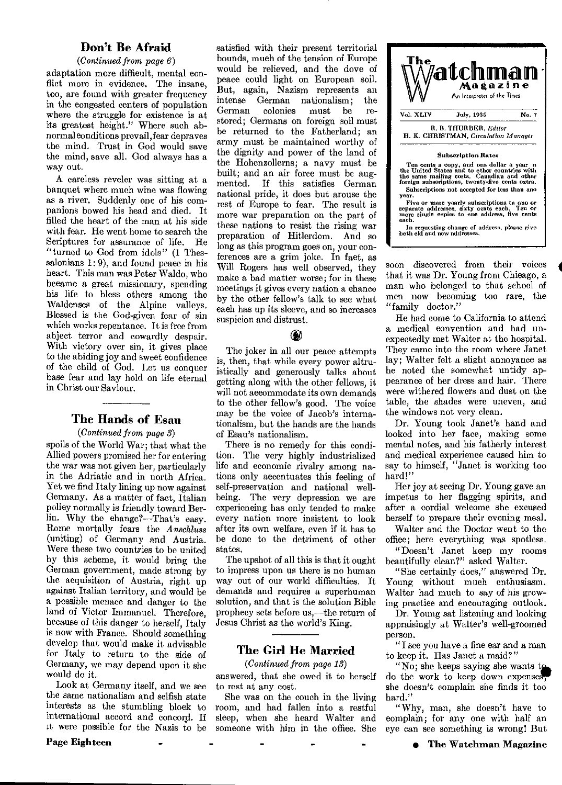#### Don't Be Afraid

#### *(Continued from page 6)*

adaptation more difficult, mental conflict more in evidence. The insane, too, are found with greater frequency in the congested centers of population where the struggle for existence is at its greatest height." Where such abnormal conditions prevail, fear depraves the mind. Trust in God would save the mind, save all. God always has a way out.

A careless reveler was sitting at a banquet where much wine was flowing as a river. Suddenly one of his companions bowed his head and died. It filled the heart of the man at his side with fear. He went home to search the Scriptures for assurance of life. He "turned to God from idols" (1 Thessalonians  $1: 9$ ), and found peace in his heart. This man was Peter Waldo, who became a great missionary, spending his life to bless others among the Waldenses of the Alpine valleys. Blessed is the God-given fear of sin which works repentance. It is free from abject terror and cowardly despair. With victory over sin, it gives place to the abiding joy and sweet confidence of the child of God. Let us conquer base fear and lay hold on life eternal in Christ our Saviour.

#### The Hands of Esau

#### *(Continued from page* 3)

spoils of the World War; that what the Allied powers promised her for entering the war was not given her, particularly in the Adriatic and in north Africa. Yet we find Italy lining up now against Germany. As a matter of fact, Italian policy normally is friendly toward Berlin. Why the change?—That's easy. Rome mortally fears the *Anschluss*  (uniting) of Germany and Austria. Were these two countries to be united by this scheme, it would bring the German government, made strong by the acquisition of Austria, right up against Italian territory, and would be a possible menace and danger to the land of Victor Immanuel. Therefore, because of this danger to herself, Italy is now with France. Should something develop that would make it advisable for Italy to return to the side of Germany, we may depend upon it she would do it.

Look at Germany itself, and we see the same nationalism and selfish state interests as the stumbling block to international accord and concord. If it were possible for the Nazis to be

satisfied with their present territorial bounds, much of the tension of Europe would be relieved, and the dove of peace could light on European soil. But, again, Nazism represents an intense German nationalism; the colonies must be restored; Germans on foreign soil must be returned to the Fatherland; an army must be maintained worthy of the dignity and power of the land of the Hohenzollerns; a navy must be built; and an air force must be augmented. If this satisfies German national pride, it does but arouse the rest of Europe to fear. The result is more war preparation on the part of these nations to resist the rising war preparation of Hitlerdom. And so long as this program goes on, your con ferences are a grim joke. In fact, as Will Rogers has well observed, they make a bad matter worse; for in these meetings it gives every nation a chance by the other fellow's talk to see what each has up its sleeve, and so increases suspicion and distrust.

The joker in all our peace attempts is, then, that while every power altruistically and generously talks about getting along with the other fellows, it will not accommodate its own demands to the other fellow's good. The voice may be the voice of Jacob's internationalism, but the hands are the hands of Esau's nationalism.

⊛

There is no remedy for this condition. The very highly industrialized life and economic rivalry among nations only accentuates this feeling of self-preservation and national wellbeing. The very depression we are experiencing has only tended to make every nation more insistent to look after its own welfare, even if it has to be done to the detriment of other states.

The upshot of all this is that it ought to impress upon us there is no human way out of our world difficulties. It demands and requires a superhuman solution, and that is the solution Bible prophecy sets before us,—the return of Jesus Christ as the world's King.

#### The Girl He Married

*(Continued from page 13)* 

answered, that she owed it to herself to rest at any cost.

She was on the couch in the living room, and had fallen into a restful sleep, when she heard Walter and someone with him in the office. She



soon discovered from their voice that it was Dr. Young from Chicago, a man who belonged to that school o men now becoming too rare, the "family doctor."

He had come to California to attend a medical convention and had unexpectedly met Walter at the hospital. They came into the room where Janet lay; Walter felt a slight annoyance as he noted the somewhat untidy appearance of her dress and hair. There were withered flowers and dust on the table, the shades were uneven, and the windows not very clean.

Dr. Young took Janet's hand and looked into her face, making some mental notes, and his fatherly interest and medical experience caused him to say to himself, "Janet is working too hard!"

Her joy at seeing Dr. Young gave an impetus to her flagging spirits, and after a cordial welcome she excused herself to prepare their evening meal.

Walter and the Doctor went to the office; here everything was spotless.

"Doesn't Janet keep my rooms beautifully clean?" asked Walter.

"She certainly does," answered Dr. Young without much enthusiasm. Walter had much to say of his growing practice and encouraging outlook.

Dr. Young sat listening and looking appraisingly at Walter's well-groomed person.

"I see you have a fine car and a man to keep it. Has Janet a maid?"

"No; she keeps saying she wants do the work to keep down expense she doesn't complain she finds it too hard."

"Why, man, she doesn't have to complain; for any one with half an eye can see something is wrong! But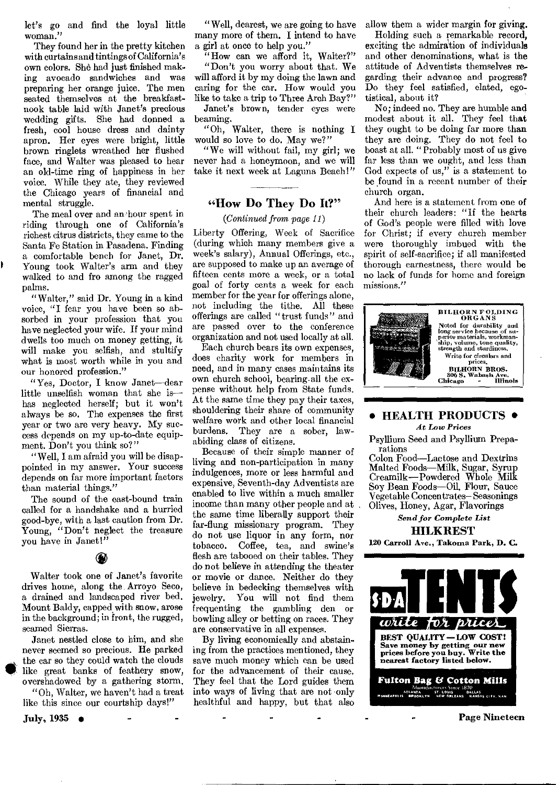let's go and find the loyal little woman."

They found her in the pretty kitchen with curtains and tintings of California's own colors. She had just finished making avocado sandwiches and was preparing her orange juice. The men seated themselves at the breakfastnook table laid with Janet's precious wedding gifts. She had donned a fresh, cool house dress and dainty apron. Her eyes were bright, little brown ringlets wreathed her flushed face, and Walter was pleased to hear an old-time ring of happiness in her voice. While they ate, they reviewed the Chicago years of financial and mental struggle.

The meal over and an hour spent in riding through one of California's richest citrus districts, they came to the Santa Fe Station in Pasadena. Finding a comfortable bench for Janet, Dr. Young took Walter's arm and they walked to and fro among the ragged palms.

"Walter," said Dr. Young in a kind voice, "I fear you have been so absorbed in your profession that you have neglected your wife. If your mind dwells too much on money getting, it will make you selfish, and stultify what is most worth while in you and our honored profession."

"Yes, Doctor, I know Janet—dear little unselfish woman that she is has neglected herself; but it won't always be so. The expenses the first year or two are very heavy. My success depends on my up-to-date equipment. Don't you think so?"

"Well, I am afraid you will be disappointed in my answer. Your success depends on far more important factors than material things."

The sound of the east-bound train called for a handshake and a hurried good-bye, with a last caution from Dr. Young, "Don't neglect the treasure you have in Janet!"

#### ⊛

Walter took one of Janet's favorite drives home, along the Arroyo Seco, a drained and landscaped river bed. Mount Baldy, capped with snow, arose in the background; in front, the rugged, seamed Sierras.

Janet nestled close to him, and she never seemed so precious. He parked<br>the car so they could watch the clouds like great banks of feathery snow, overshadowed by a gathering storm,

"Oh, Walter, we haven't had a treat like this since our courtship days!"

"Well, dearest, we are going to have many more of them. I intend to have a girl at once to help you."

"How can we afford it, Walter?" "Don't you worry about that. We will afford it by my doing the lawn and caring for the car. How would you like to take a trip to Three Arch Bay?"

Janet's brown, tender eyes were beaming.

"Oh, Walter, there is nothing I would so love to do. May we?"

"We will without fail, my girl; we never had a honeymoon, and we will take it next week at Laguna Beach!"

#### **"How Do They Do It?"**

*(Continued from page II)* 

Liberty Offering, Week of Sacrifice (during which many members give a week's salary), Annual Offerings, etc., are supposed to make up an average of fifteen cents more a week, or a total goal of forty cents a week for each member for the year for offerings alone, not including the tithe. All these offerings are called "trust funds" and are passed over to the conference organization and not used locally at all.

Each church bears its own expenses, does charity work for members in need, and in many cases maintains its own church school, bearing.all the expense without help from State funds. At the same time they pay their taxes, shouldering their share of community welfare work and other local financial burdens. They are a sober, lawabiding class of citizens.

Because of their simple manner of living and non-participation in many indulgences, more or less harmful and expensive, Seventh-day Adventists are enabled to live within a much smaller income than many other people and at the same time liberally support their far-flung missionary program. They do not use liquor in any form, nor<br>tobacco. Coffee, tea. and swine's Coffee, tea, and swine's flesh are tabooed on their tables. They do not believe in attending the theater or movie or dance. Neither do they believe in bedecking themselves with jewelry. You will not find them frequenting the gambling den or bowling alley or betting on races. They are conservative in all expenses.

By living economically and abstaining from the practices mentioned, they save much money which can be used for the advancement of their cause. They feel that the Lord guides them into ways of living that are not only healthful and happy, but that also allow them a wider margin for giving.

Holding such a remarkable record, exciting the admiration of individuals and other denominations, what is the attitude of Adventists themselves regarding their advance and progress? Do they feel satisfied, elated, egotistical, about it?

No; indeed no. They are humble and modest about it all. They feel that they ought to be doing far more than they are doing. They do not feel to boast at all. "Probably most of us give far less than we ought, and less than God expects of us," is a statement to be found in a recent number of their church organ.

And here is a statement from one of their church leaders: "If the hearts of God's people were filled with love for Christ; if every church member were thoroughly imbued with the spirit of self-sacrifice; if all manifested thorough earnestness, there would be no lack of funds for home and foreign missions."



#### **• HEALTH PRODUCTS •**  *At Low Prices*

Psyllium Seed and Psyllium Preparations

Colon Food—Lactose and Dextrins Malted Foods—Milk, Sugar, Syrup Creamilk —Powdered Whole Milk Soy Bean Foods—Oil, Flour, Sauce Vegetable Concentrates— Seasonings Olives, Honey, Agar, Flavorings

*Send for Complete List*  **HILKREST** 

120 Carroll Ave., Takoma Park, D. C.